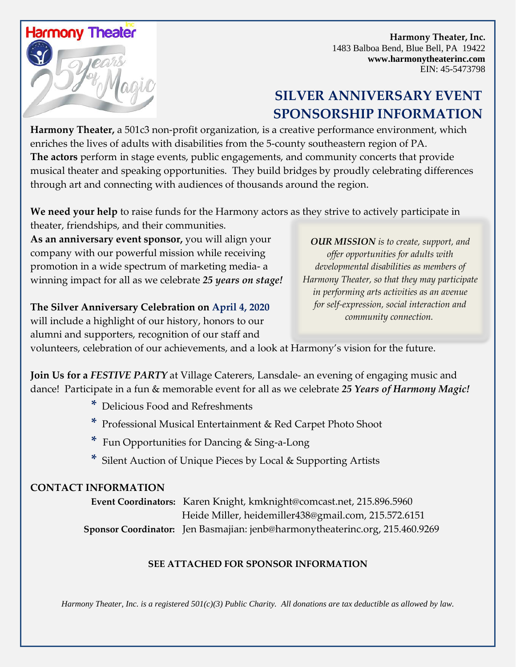

 **Harmony Theater, Inc.** 1483 Balboa Bend, Blue Bell, PA 19422 **www.harmonytheaterinc.com** EIN: 45-5473798

# **SILVER ANNIVERSARY EVENT SPONSORSHIP INFORMATION**

**Harmony Theater,** a 501c3 non-profit organization, is a creative performance environment, which enriches the lives of adults with disabilities from the 5-county southeastern region of PA. **The actors** perform in stage events, public engagements, and community concerts that provide musical theater and speaking opportunities. They build bridges by proudly celebrating differences through art and connecting with audiences of thousands around the region.

**We need your help** to raise funds for the Harmony actors as they strive to actively participate in theater, friendships, and their communities.

**As an anniversary event sponsor,** you will align your company with our powerful mission while receiving promotion in a wide spectrum of marketing media- a winning impact for all as we celebrate *25 years on stage!*

**The Silver Anniversary Celebration on April 4, 2020** will include a highlight of our history, honors to our alumni and supporters, recognition of our staff and

*OUR MISSION is to create, support, and offer opportunities for adults with developmental disabilities as members of Harmony Theater, so that they may participate in performing arts activities as an avenue for self-expression, social interaction and community connection.*

volunteers, celebration of our achievements, and a look at Harmony's vision for the future.

**Join Us for a** *FESTIVE PARTY* at Village Caterers, Lansdale- an evening of engaging music and dance! Participate in a fun & memorable event for all as we celebrate *25 Years of Harmony Magic!*

- **\*** Delicious Food and Refreshments
- **\*** Professional Musical Entertainment & Red Carpet Photo Shoot
- **\*** Fun Opportunities for Dancing & Sing-a-Long
- **\*** Silent Auction of Unique Pieces by Local & Supporting Artists

### **CONTACT INFORMATION**

**Event Coordinators:** Karen Knight, kmknight@comcast.net, 215.896.5960 Heide Miller, heidemiller438@gmail.com, 215.572.6151  **Sponsor Coordinator:** Jen Basmajian: jenb@harmonytheaterinc.org, 215.460.9269

#### **SEE ATTACHED FOR SPONSOR INFORMATION**

*Harmony Theater, Inc. is a registered 501(c)(3) Public Charity. All donations are tax deductible as allowed by law.*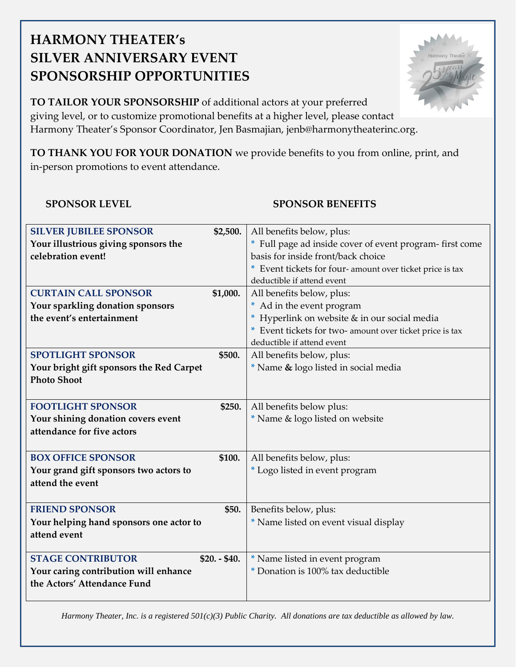# **HARMONY THEATER's SILVER ANNIVERSARY EVENT SPONSORSHIP OPPORTUNITIES**

**TO TAILOR YOUR SPONSORSHIP** of additional actors at your preferred giving level, or to customize promotional benefits at a higher level, please contact Harmony Theater's Sponsor Coordinator, Jen Basmajian, jenb@harmonytheaterinc.org.

**TO THANK YOU FOR YOUR DONATION** we provide benefits to you from online, print, and in-person promotions to event attendance.

### **SPONSOR LEVEL SPONSOR BENEFITS**

| <b>SILVER JUBILEE SPONSOR</b>                   | \$2,500.    | All benefits below, plus:                                |
|-------------------------------------------------|-------------|----------------------------------------------------------|
| Your illustrious giving sponsors the            |             | * Full page ad inside cover of event program-first come  |
| celebration event!                              |             | basis for inside front/back choice                       |
|                                                 |             | * Event tickets for four-amount over ticket price is tax |
|                                                 |             | deductible if attend event                               |
| <b>CURTAIN CALL SPONSOR</b>                     | \$1,000.    | All benefits below, plus:                                |
| Your sparkling donation sponsors                |             | * Ad in the event program                                |
| the event's entertainment                       |             | * Hyperlink on website & in our social media             |
|                                                 |             | * Event tickets for two- amount over ticket price is tax |
|                                                 |             | deductible if attend event                               |
| <b>SPOTLIGHT SPONSOR</b>                        | \$500.      | All benefits below, plus:                                |
| <b>Your bright gift sponsors the Red Carpet</b> |             | * Name & logo listed in social media                     |
| <b>Photo Shoot</b>                              |             |                                                          |
|                                                 |             |                                                          |
| <b>FOOTLIGHT SPONSOR</b>                        | \$250.      | All benefits below plus:                                 |
| Your shining donation covers event              |             | * Name & logo listed on website                          |
| attendance for five actors                      |             |                                                          |
|                                                 |             |                                                          |
| <b>BOX OFFICE SPONSOR</b>                       | \$100.      | All benefits below, plus:                                |
| Your grand gift sponsors two actors to          |             | * Logo listed in event program                           |
| attend the event                                |             |                                                          |
|                                                 |             |                                                          |
| <b>FRIEND SPONSOR</b>                           | \$50.       | Benefits below, plus:                                    |
| Your helping hand sponsors one actor to         |             | * Name listed on event visual display                    |
| attend event                                    |             |                                                          |
|                                                 |             |                                                          |
| <b>STAGE CONTRIBUTOR</b>                        | $$20.-$40.$ | * Name listed in event program                           |
| Your caring contribution will enhance           |             | * Donation is 100% tax deductible                        |
| the Actors' Attendance Fund                     |             |                                                          |
|                                                 |             |                                                          |

*Harmony Theater, Inc. is a registered 501(c)(3) Public Charity. All donations are tax deductible as allowed by law.*